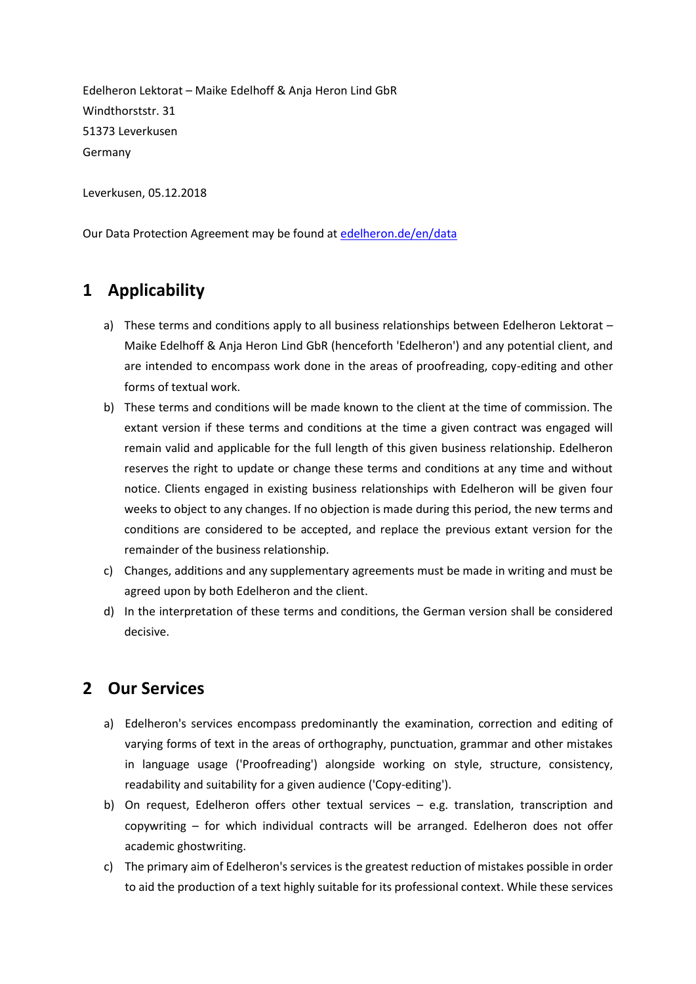Edelheron Lektorat – Maike Edelhoff & Anja Heron Lind GbR Windthorststr. 31 51373 Leverkusen Germany

Leverkusen, 05.12.2018

Our Data Protection Agreement may be found at [edelheron.de/en/data](http://edelheron.de/en/data)

### **1 Applicability**

- a) These terms and conditions apply to all business relationships between Edelheron Lektorat -Maike Edelhoff & Anja Heron Lind GbR (henceforth 'Edelheron') and any potential client, and are intended to encompass work done in the areas of proofreading, copy-editing and other forms of textual work.
- b) These terms and conditions will be made known to the client at the time of commission. The extant version if these terms and conditions at the time a given contract was engaged will remain valid and applicable for the full length of this given business relationship. Edelheron reserves the right to update or change these terms and conditions at any time and without notice. Clients engaged in existing business relationships with Edelheron will be given four weeks to object to any changes. If no objection is made during this period, the new terms and conditions are considered to be accepted, and replace the previous extant version for the remainder of the business relationship.
- c) Changes, additions and any supplementary agreements must be made in writing and must be agreed upon by both Edelheron and the client.
- d) In the interpretation of these terms and conditions, the German version shall be considered decisive.

#### **2 Our Services**

- a) Edelheron's services encompass predominantly the examination, correction and editing of varying forms of text in the areas of orthography, punctuation, grammar and other mistakes in language usage ('Proofreading') alongside working on style, structure, consistency, readability and suitability for a given audience ('Copy-editing').
- b) On request, Edelheron offers other textual services e.g. translation, transcription and copywriting – for which individual contracts will be arranged. Edelheron does not offer academic ghostwriting.
- c) The primary aim of Edelheron's services is the greatest reduction of mistakes possible in order to aid the production of a text highly suitable for its professional context. While these services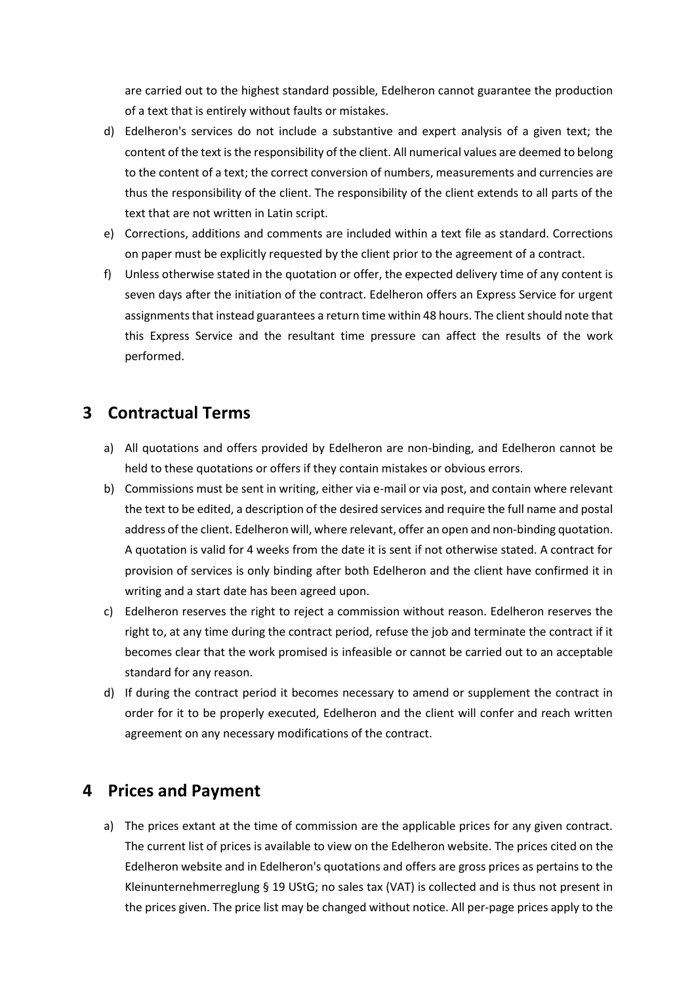are carried out to the highest standard possible, Edelheron cannot guarantee the production of a text that is entirely without faults or mistakes.

- d) Edelheron's services do not include a substantive and expert analysis of a given text; the content of the text is the responsibility of the client. All numerical values are deemed to belong to the content of a text; the correct conversion of numbers, measurements and currencies are thus the responsibility of the client. The responsibility of the client extends to all parts of the text that are not written in Latin script.
- e) Corrections, additions and comments are included within a text file as standard. Corrections on paper must be explicitly requested by the client prior to the agreement of a contract.
- f) Unless otherwise stated in the quotation or offer, the expected delivery time of any content is seven days after the initiation of the contract. Edelheron offers an Express Service for urgent assignments that instead guarantees a return time within 48 hours. The client should note that this Express Service and the resultant time pressure can affect the results of the work performed.

## **3 Contractual Terms**

- a) All quotations and offers provided by Edelheron are non-binding, and Edelheron cannot be held to these quotations or offers if they contain mistakes or obvious errors.
- b) Commissions must be sent in writing, either via e-mail or via post, and contain where relevant the text to be edited, a description of the desired services and require the full name and postal address of the client. Edelheron will, where relevant, offer an open and non-binding quotation. A quotation is valid for 4 weeks from the date it is sent if not otherwise stated. A contract for provision of services is only binding after both Edelheron and the client have confirmed it in writing and a start date has been agreed upon.
- c) Edelheron reserves the right to reject a commission without reason. Edelheron reserves the right to, at any time during the contract period, refuse the job and terminate the contract if it becomes clear that the work promised is infeasible or cannot be carried out to an acceptable standard for any reason.
- d) If during the contract period it becomes necessary to amend or supplement the contract in order for it to be properly executed, Edelheron and the client will confer and reach written agreement on any necessary modifications of the contract.

## **4 Prices and Payment**

a) The prices extant at the time of commission are the applicable prices for any given contract. The current list of prices is available to view on the Edelheron website. The prices cited on the Edelheron website and in Edelheron's quotations and offers are gross prices as pertains to the Kleinunternehmerreglung § 19 UStG; no sales tax (VAT) is collected and is thus not present in the prices given. The price list may be changed without notice. All per-page prices apply to the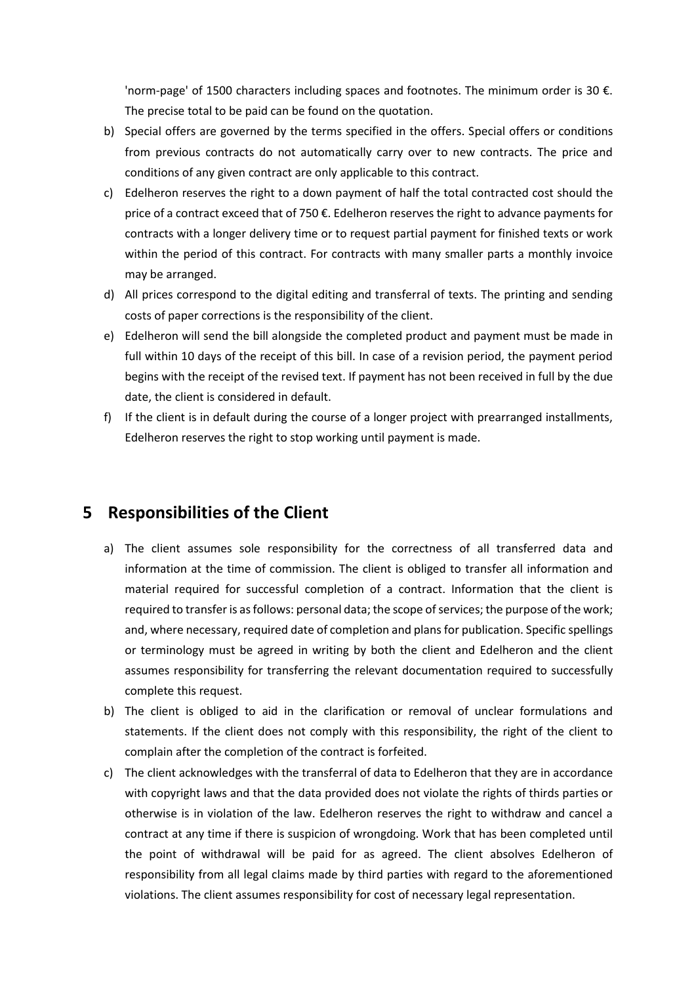'norm-page' of 1500 characters including spaces and footnotes. The minimum order is 30 €. The precise total to be paid can be found on the quotation.

- b) Special offers are governed by the terms specified in the offers. Special offers or conditions from previous contracts do not automatically carry over to new contracts. The price and conditions of any given contract are only applicable to this contract.
- c) Edelheron reserves the right to a down payment of half the total contracted cost should the price of a contract exceed that of 750 €. Edelheron reserves the right to advance payments for contracts with a longer delivery time or to request partial payment for finished texts or work within the period of this contract. For contracts with many smaller parts a monthly invoice may be arranged.
- d) All prices correspond to the digital editing and transferral of texts. The printing and sending costs of paper corrections is the responsibility of the client.
- e) Edelheron will send the bill alongside the completed product and payment must be made in full within 10 days of the receipt of this bill. In case of a revision period, the payment period begins with the receipt of the revised text. If payment has not been received in full by the due date, the client is considered in default.
- f) If the client is in default during the course of a longer project with prearranged installments, Edelheron reserves the right to stop working until payment is made.

#### **5 Responsibilities of the Client**

- a) The client assumes sole responsibility for the correctness of all transferred data and information at the time of commission. The client is obliged to transfer all information and material required for successful completion of a contract. Information that the client is required to transfer is as follows: personal data; the scope of services; the purpose of the work; and, where necessary, required date of completion and plans for publication. Specific spellings or terminology must be agreed in writing by both the client and Edelheron and the client assumes responsibility for transferring the relevant documentation required to successfully complete this request.
- b) The client is obliged to aid in the clarification or removal of unclear formulations and statements. If the client does not comply with this responsibility, the right of the client to complain after the completion of the contract is forfeited.
- c) The client acknowledges with the transferral of data to Edelheron that they are in accordance with copyright laws and that the data provided does not violate the rights of thirds parties or otherwise is in violation of the law. Edelheron reserves the right to withdraw and cancel a contract at any time if there is suspicion of wrongdoing. Work that has been completed until the point of withdrawal will be paid for as agreed. The client absolves Edelheron of responsibility from all legal claims made by third parties with regard to the aforementioned violations. The client assumes responsibility for cost of necessary legal representation.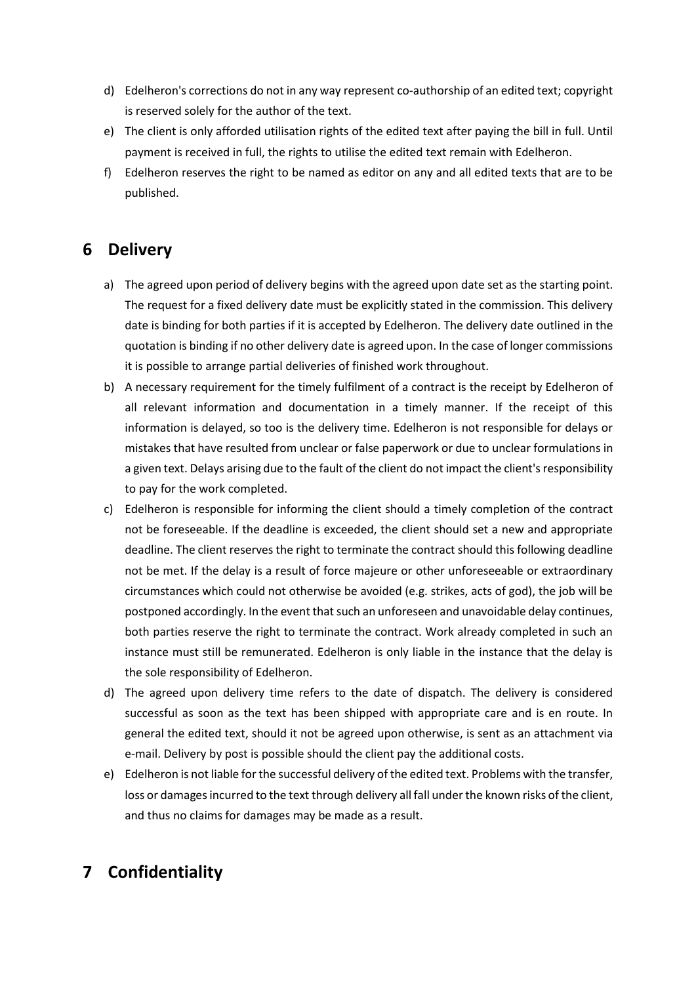- d) Edelheron's corrections do not in any way represent co-authorship of an edited text; copyright is reserved solely for the author of the text.
- e) The client is only afforded utilisation rights of the edited text after paying the bill in full. Until payment is received in full, the rights to utilise the edited text remain with Edelheron.
- f) Edelheron reserves the right to be named as editor on any and all edited texts that are to be published.

# **6 Delivery**

- a) The agreed upon period of delivery begins with the agreed upon date set as the starting point. The request for a fixed delivery date must be explicitly stated in the commission. This delivery date is binding for both parties if it is accepted by Edelheron. The delivery date outlined in the quotation is binding if no other delivery date is agreed upon. In the case of longer commissions it is possible to arrange partial deliveries of finished work throughout.
- b) A necessary requirement for the timely fulfilment of a contract is the receipt by Edelheron of all relevant information and documentation in a timely manner. If the receipt of this information is delayed, so too is the delivery time. Edelheron is not responsible for delays or mistakes that have resulted from unclear or false paperwork or due to unclear formulations in a given text. Delays arising due to the fault of the client do not impact the client's responsibility to pay for the work completed.
- c) Edelheron is responsible for informing the client should a timely completion of the contract not be foreseeable. If the deadline is exceeded, the client should set a new and appropriate deadline. The client reserves the right to terminate the contract should this following deadline not be met. If the delay is a result of force majeure or other unforeseeable or extraordinary circumstances which could not otherwise be avoided (e.g. strikes, acts of god), the job will be postponed accordingly. In the event that such an unforeseen and unavoidable delay continues, both parties reserve the right to terminate the contract. Work already completed in such an instance must still be remunerated. Edelheron is only liable in the instance that the delay is the sole responsibility of Edelheron.
- d) The agreed upon delivery time refers to the date of dispatch. The delivery is considered successful as soon as the text has been shipped with appropriate care and is en route. In general the edited text, should it not be agreed upon otherwise, is sent as an attachment via e-mail. Delivery by post is possible should the client pay the additional costs.
- e) Edelheron is not liable for the successful delivery of the edited text. Problems with the transfer, loss or damages incurred to the text through delivery all fall under the known risks of the client, and thus no claims for damages may be made as a result.

# **7 Confidentiality**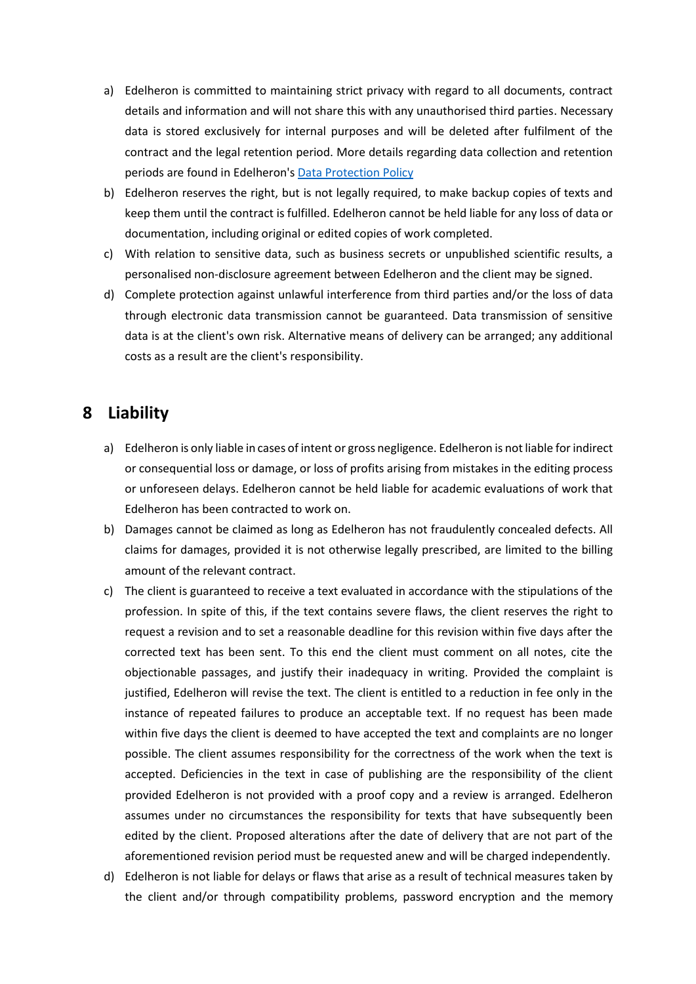- a) Edelheron is committed to maintaining strict privacy with regard to all documents, contract details and information and will not share this with any unauthorised third parties. Necessary data is stored exclusively for internal purposes and will be deleted after fulfilment of the contract and the legal retention period. More details regarding data collection and retention periods are found in Edelheron'[s Data Protection Policy](http://edelheron.de/en/data)
- b) Edelheron reserves the right, but is not legally required, to make backup copies of texts and keep them until the contract is fulfilled. Edelheron cannot be held liable for any loss of data or documentation, including original or edited copies of work completed.
- c) With relation to sensitive data, such as business secrets or unpublished scientific results, a personalised non-disclosure agreement between Edelheron and the client may be signed.
- d) Complete protection against unlawful interference from third parties and/or the loss of data through electronic data transmission cannot be guaranteed. Data transmission of sensitive data is at the client's own risk. Alternative means of delivery can be arranged; any additional costs as a result are the client's responsibility.

### **8 Liability**

- a) Edelheron is only liable in cases of intent or gross negligence. Edelheron is not liable for indirect or consequential loss or damage, or loss of profits arising from mistakes in the editing process or unforeseen delays. Edelheron cannot be held liable for academic evaluations of work that Edelheron has been contracted to work on.
- b) Damages cannot be claimed as long as Edelheron has not fraudulently concealed defects. All claims for damages, provided it is not otherwise legally prescribed, are limited to the billing amount of the relevant contract.
- c) The client is guaranteed to receive a text evaluated in accordance with the stipulations of the profession. In spite of this, if the text contains severe flaws, the client reserves the right to request a revision and to set a reasonable deadline for this revision within five days after the corrected text has been sent. To this end the client must comment on all notes, cite the objectionable passages, and justify their inadequacy in writing. Provided the complaint is justified, Edelheron will revise the text. The client is entitled to a reduction in fee only in the instance of repeated failures to produce an acceptable text. If no request has been made within five days the client is deemed to have accepted the text and complaints are no longer possible. The client assumes responsibility for the correctness of the work when the text is accepted. Deficiencies in the text in case of publishing are the responsibility of the client provided Edelheron is not provided with a proof copy and a review is arranged. Edelheron assumes under no circumstances the responsibility for texts that have subsequently been edited by the client. Proposed alterations after the date of delivery that are not part of the aforementioned revision period must be requested anew and will be charged independently.
- d) Edelheron is not liable for delays or flaws that arise as a result of technical measures taken by the client and/or through compatibility problems, password encryption and the memory